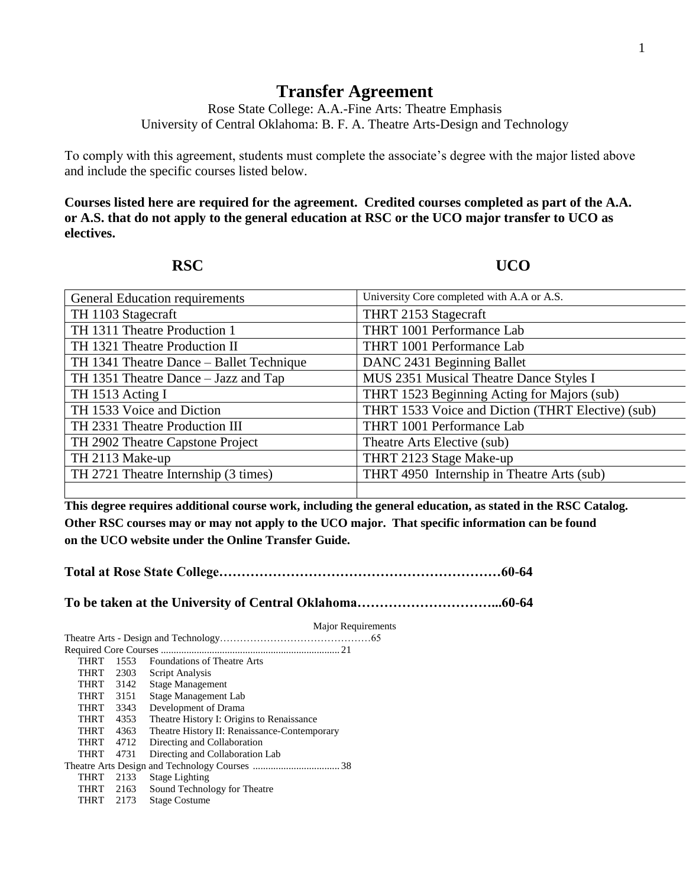## **Transfer Agreement**

Rose State College: A.A.-Fine Arts: Theatre Emphasis University of Central Oklahoma: B. F. A. Theatre Arts-Design and Technology

To comply with this agreement, students must complete the associate's degree with the major listed above and include the specific courses listed below.

**Courses listed here are required for the agreement. Credited courses completed as part of the A.A. or A.S. that do not apply to the general education at RSC or the UCO major transfer to UCO as electives.**

**RSC UCO** 

| <b>General Education requirements</b>    | University Core completed with A.A or A.S.        |
|------------------------------------------|---------------------------------------------------|
| TH 1103 Stagecraft                       | THRT 2153 Stagecraft                              |
| TH 1311 Theatre Production 1             | THRT 1001 Performance Lab                         |
| TH 1321 Theatre Production II            | THRT 1001 Performance Lab                         |
| TH 1341 Theatre Dance – Ballet Technique | DANC 2431 Beginning Ballet                        |
| TH 1351 Theatre Dance – Jazz and Tap     | MUS 2351 Musical Theatre Dance Styles I           |
| TH 1513 Acting I                         | THRT 1523 Beginning Acting for Majors (sub)       |
| TH 1533 Voice and Diction                | THRT 1533 Voice and Diction (THRT Elective) (sub) |
| TH 2331 Theatre Production III           | THRT 1001 Performance Lab                         |
| TH 2902 Theatre Capstone Project         | Theatre Arts Elective (sub)                       |
| TH 2113 Make-up                          | THRT 2123 Stage Make-up                           |
| TH 2721 Theatre Internship (3 times)     | THRT 4950 Internship in Theatre Arts (sub)        |
|                                          |                                                   |

**This degree requires additional course work, including the general education, as stated in the RSC Catalog. Other RSC courses may or may not apply to the UCO major. That specific information can be found on the UCO website under the Online Transfer Guide.**

**Total at Rose State College………………………………………………………60-64**

**To be taken at the University of Central Oklahoma…………………………...60-64**

|             |      | Major Requirements                           |
|-------------|------|----------------------------------------------|
|             |      |                                              |
|             |      |                                              |
| <b>THRT</b> | 1553 | <b>Foundations of Theatre Arts</b>           |
| <b>THRT</b> | 2303 | Script Analysis                              |
| THRT        | 3142 | Stage Management                             |
| <b>THRT</b> | 3151 | Stage Management Lab                         |
| <b>THRT</b> | 3343 | Development of Drama                         |
| <b>THRT</b> | 4353 | Theatre History I: Origins to Renaissance    |
| <b>THRT</b> | 4363 | Theatre History II: Renaissance-Contemporary |
| <b>THRT</b> | 4712 | Directing and Collaboration                  |
| <b>THRT</b> | 4731 | Directing and Collaboration Lab              |
|             |      |                                              |
| <b>THRT</b> | 2133 | <b>Stage Lighting</b>                        |
| THRT        | 2163 | Sound Technology for Theatre                 |
| THRT        | 2173 | <b>Stage Costume</b>                         |
|             |      |                                              |